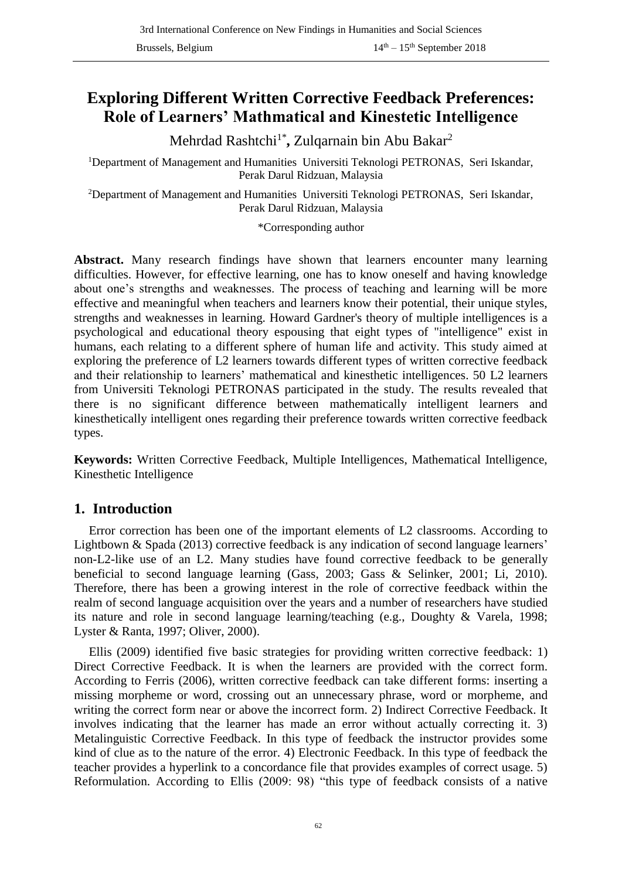# **Exploring Different Written Corrective Feedback Preferences: Role of Learners' Mathmatical and Kinestetic Intelligence**

Mehrdad Rashtchi1\* **,** Zulqarnain bin Abu Bakar<sup>2</sup>

<sup>1</sup>Department of Management and Humanities Universiti Teknologi PETRONAS, Seri Iskandar, Perak Darul Ridzuan, Malaysia

<sup>2</sup>Department of Management and Humanities Universiti Teknologi PETRONAS, Seri Iskandar, Perak Darul Ridzuan, Malaysia

\*Corresponding author

**Abstract.** Many research findings have shown that learners encounter many learning difficulties. However, for effective learning, one has to know oneself and having knowledge about one's strengths and weaknesses. The process of teaching and learning will be more effective and meaningful when teachers and learners know their potential, their unique styles, strengths and weaknesses in learning. Howard Gardner's theory of multiple intelligences is a psychological and educational theory espousing that eight types of "intelligence" exist in humans, each relating to a different sphere of human life and activity. This study aimed at exploring the preference of L2 learners towards different types of written corrective feedback and their relationship to learners' mathematical and kinesthetic intelligences. 50 L2 learners from Universiti Teknologi PETRONAS participated in the study. The results revealed that there is no significant difference between mathematically intelligent learners and kinesthetically intelligent ones regarding their preference towards written corrective feedback types.

**Keywords:** Written Corrective Feedback, Multiple Intelligences, Mathematical Intelligence, Kinesthetic Intelligence

### **1. Introduction**

Error correction has been one of the important elements of L2 classrooms. According to Lightbown & Spada (2013) corrective feedback is any indication of second language learners' non-L2-like use of an L2. Many studies have found corrective feedback to be generally beneficial to second language learning (Gass, 2003; Gass & Selinker, 2001; Li, 2010). Therefore, there has been a growing interest in the role of corrective feedback within the realm of second language acquisition over the years and a number of researchers have studied its nature and role in second language learning/teaching (e.g., Doughty & Varela, 1998; Lyster & Ranta, 1997; Oliver, 2000).

Ellis (2009) identified five basic strategies for providing written corrective feedback: 1) Direct Corrective Feedback. It is when the learners are provided with the correct form. According to Ferris (2006), written corrective feedback can take different forms: inserting a missing morpheme or word, crossing out an unnecessary phrase, word or morpheme, and writing the correct form near or above the incorrect form. 2) Indirect Corrective Feedback. It involves indicating that the learner has made an error without actually correcting it. 3) Metalinguistic Corrective Feedback. In this type of feedback the instructor provides some kind of clue as to the nature of the error. 4) Electronic Feedback. In this type of feedback the teacher provides a hyperlink to a concordance file that provides examples of correct usage. 5) Reformulation. According to Ellis (2009: 98) "this type of feedback consists of a native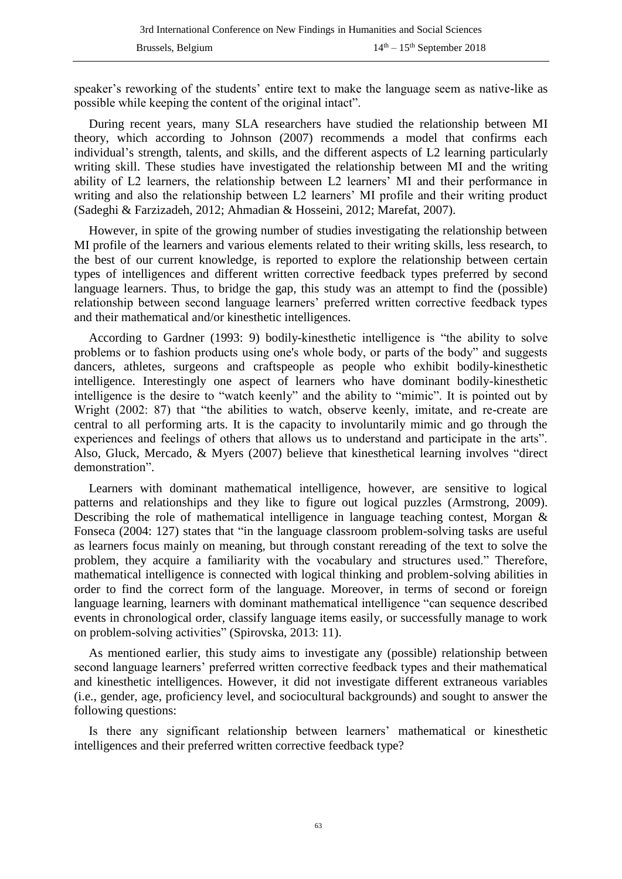speaker's reworking of the students' entire text to make the language seem as native-like as possible while keeping the content of the original intact".

During recent years, many SLA researchers have studied the relationship between MI theory, which according to Johnson (2007) recommends a model that confirms each individual's strength, talents, and skills, and the different aspects of L2 learning particularly writing skill. These studies have investigated the relationship between MI and the writing ability of L2 learners, the relationship between L2 learners' MI and their performance in writing and also the relationship between L2 learners' MI profile and their writing product (Sadeghi & Farzizadeh, 2012; Ahmadian & Hosseini, 2012; Marefat, 2007).

However, in spite of the growing number of studies investigating the relationship between MI profile of the learners and various elements related to their writing skills, less research, to the best of our current knowledge, is reported to explore the relationship between certain types of intelligences and different written corrective feedback types preferred by second language learners. Thus, to bridge the gap, this study was an attempt to find the (possible) relationship between second language learners' preferred written corrective feedback types and their mathematical and/or kinesthetic intelligences.

According to Gardner (1993: 9) bodily-kinesthetic intelligence is "the ability to solve problems or to fashion products using one's whole body, or parts of the body" and suggests dancers, athletes, surgeons and craftspeople as people who exhibit bodily-kinesthetic intelligence. Interestingly one aspect of learners who have dominant bodily-kinesthetic intelligence is the desire to "watch keenly" and the ability to "mimic". It is pointed out by Wright (2002: 87) that "the abilities to watch, observe keenly, imitate, and re-create are central to all performing arts. It is the capacity to involuntarily mimic and go through the experiences and feelings of others that allows us to understand and participate in the arts". Also, Gluck, Mercado, & Myers (2007) believe that kinesthetical learning involves "direct demonstration".

Learners with dominant mathematical intelligence, however, are sensitive to logical patterns and relationships and they like to figure out logical puzzles (Armstrong, 2009). Describing the role of mathematical intelligence in language teaching contest, Morgan & Fonseca (2004: 127) states that "in the language classroom problem-solving tasks are useful as learners focus mainly on meaning, but through constant rereading of the text to solve the problem, they acquire a familiarity with the vocabulary and structures used." Therefore, mathematical intelligence is connected with logical thinking and problem-solving abilities in order to find the correct form of the language. Moreover, in terms of second or foreign language learning, learners with dominant mathematical intelligence "can sequence described events in chronological order, classify language items easily, or successfully manage to work on problem-solving activities" (Spirovska, 2013: 11).

As mentioned earlier, this study aims to investigate any (possible) relationship between second language learners' preferred written corrective feedback types and their mathematical and kinesthetic intelligences. However, it did not investigate different extraneous variables (i.e., gender, age, proficiency level, and sociocultural backgrounds) and sought to answer the following questions:

Is there any significant relationship between learners' mathematical or kinesthetic intelligences and their preferred written corrective feedback type?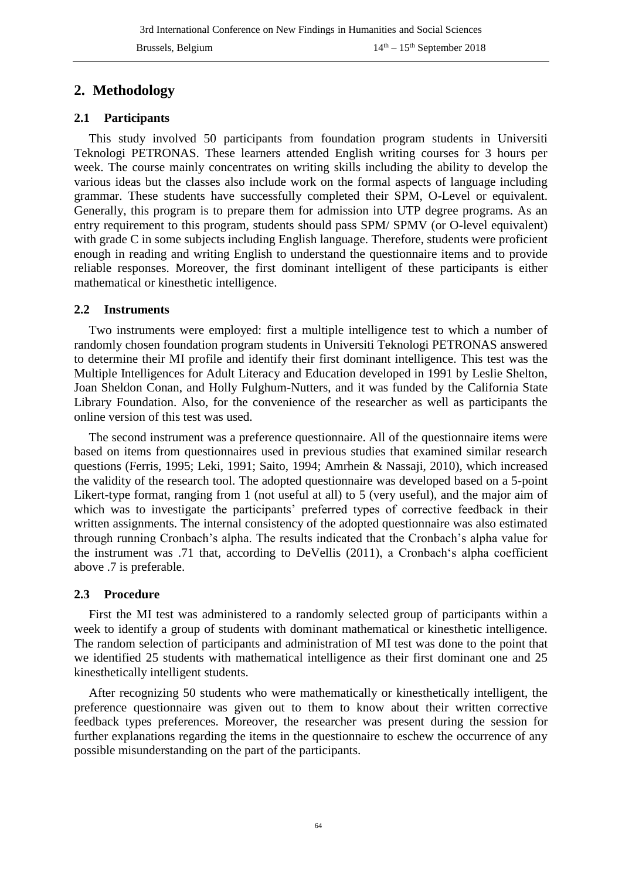## **2. Methodology**

#### **2.1 Participants**

This study involved 50 participants from foundation program students in Universiti Teknologi PETRONAS. These learners attended English writing courses for 3 hours per week. The course mainly concentrates on writing skills including the ability to develop the various ideas but the classes also include work on the formal aspects of language including grammar. These students have successfully completed their SPM, O-Level or equivalent. Generally, this program is to prepare them for admission into UTP degree programs. As an entry requirement to this program, students should pass SPM/ SPMV (or O-level equivalent) with grade C in some subjects including English language. Therefore, students were proficient enough in reading and writing English to understand the questionnaire items and to provide reliable responses. Moreover, the first dominant intelligent of these participants is either mathematical or kinesthetic intelligence.

#### **2.2 Instruments**

Two instruments were employed: first a multiple intelligence test to which a number of randomly chosen foundation program students in Universiti Teknologi PETRONAS answered to determine their MI profile and identify their first dominant intelligence. This test was the Multiple Intelligences for Adult Literacy and Education developed in 1991 by Leslie Shelton, Joan Sheldon Conan, and Holly Fulghum-Nutters, and it was funded by the California State Library Foundation. Also, for the convenience of the researcher as well as participants the online version of this test was used.

The second instrument was a preference questionnaire. All of the questionnaire items were based on items from questionnaires used in previous studies that examined similar research questions (Ferris, 1995; Leki, 1991; Saito, 1994; Amrhein & Nassaji, 2010), which increased the validity of the research tool. The adopted questionnaire was developed based on a 5-point Likert-type format, ranging from 1 (not useful at all) to 5 (very useful), and the major aim of which was to investigate the participants' preferred types of corrective feedback in their written assignments. The internal consistency of the adopted questionnaire was also estimated through running Cronbach's alpha. The results indicated that the Cronbach's alpha value for the instrument was .71 that, according to DeVellis (2011), a Cronbach's alpha coefficient above .7 is preferable.

#### **2.3 Procedure**

First the MI test was administered to a randomly selected group of participants within a week to identify a group of students with dominant mathematical or kinesthetic intelligence. The random selection of participants and administration of MI test was done to the point that we identified 25 students with mathematical intelligence as their first dominant one and 25 kinesthetically intelligent students.

After recognizing 50 students who were mathematically or kinesthetically intelligent, the preference questionnaire was given out to them to know about their written corrective feedback types preferences. Moreover, the researcher was present during the session for further explanations regarding the items in the questionnaire to eschew the occurrence of any possible misunderstanding on the part of the participants.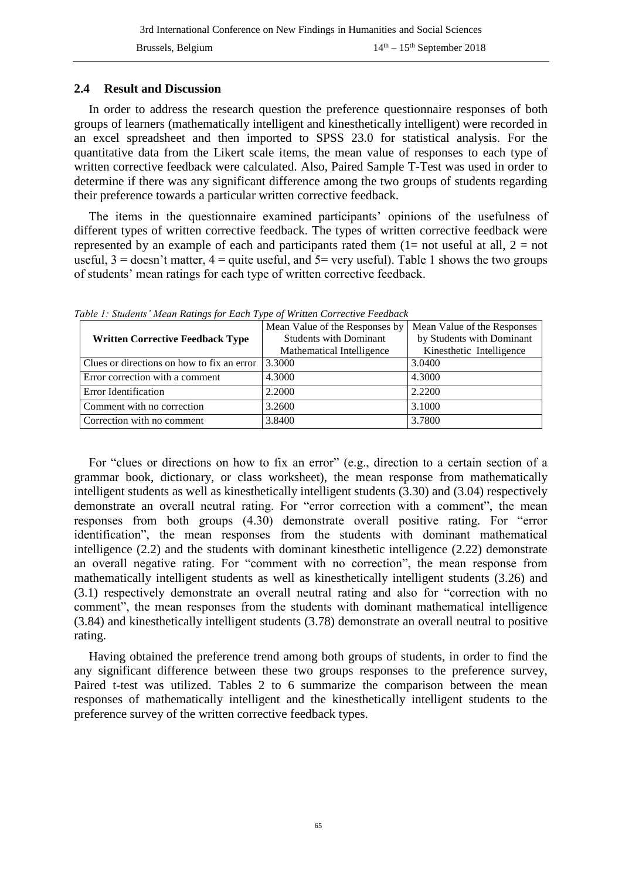#### **2.4 Result and Discussion**

In order to address the research question the preference questionnaire responses of both groups of learners (mathematically intelligent and kinesthetically intelligent) were recorded in an excel spreadsheet and then imported to SPSS 23.0 for statistical analysis. For the quantitative data from the Likert scale items, the mean value of responses to each type of written corrective feedback were calculated. Also, Paired Sample T-Test was used in order to determine if there was any significant difference among the two groups of students regarding their preference towards a particular written corrective feedback.

The items in the questionnaire examined participants' opinions of the usefulness of different types of written corrective feedback. The types of written corrective feedback were represented by an example of each and participants rated them  $(1=$  not useful at all,  $2 =$  not useful,  $3 =$  doesn't matter,  $4 =$  quite useful, and  $5 =$  very useful). Table 1 shows the two groups of students' mean ratings for each type of written corrective feedback.

| <b>Written Corrective Feedback Type</b>    | Mean Value of the Responses by<br><b>Students with Dominant</b> | Mean Value of the Responses<br>by Students with Dominant |  |  |  |
|--------------------------------------------|-----------------------------------------------------------------|----------------------------------------------------------|--|--|--|
|                                            | Mathematical Intelligence                                       | Kinesthetic Intelligence                                 |  |  |  |
| Clues or directions on how to fix an error | 3.3000                                                          | 3.0400                                                   |  |  |  |
| Error correction with a comment            | 4.3000                                                          | 4.3000                                                   |  |  |  |
| Error Identification                       | 2.2000                                                          | 2.2200                                                   |  |  |  |
| Comment with no correction                 | 3.2600                                                          | 3.1000                                                   |  |  |  |
| Correction with no comment                 | 3.8400                                                          | 3.7800                                                   |  |  |  |

*Table 1: Students' Mean Ratings for Each Type of Written Corrective Feedback*

For "clues or directions on how to fix an error" (e.g., direction to a certain section of a grammar book, dictionary, or class worksheet), the mean response from mathematically intelligent students as well as kinesthetically intelligent students (3.30) and (3.04) respectively demonstrate an overall neutral rating. For "error correction with a comment", the mean responses from both groups (4.30) demonstrate overall positive rating. For "error identification", the mean responses from the students with dominant mathematical intelligence (2.2) and the students with dominant kinesthetic intelligence (2.22) demonstrate an overall negative rating. For "comment with no correction", the mean response from mathematically intelligent students as well as kinesthetically intelligent students (3.26) and (3.1) respectively demonstrate an overall neutral rating and also for "correction with no comment", the mean responses from the students with dominant mathematical intelligence (3.84) and kinesthetically intelligent students (3.78) demonstrate an overall neutral to positive rating.

Having obtained the preference trend among both groups of students, in order to find the any significant difference between these two groups responses to the preference survey, Paired t-test was utilized. Tables 2 to 6 summarize the comparison between the mean responses of mathematically intelligent and the kinesthetically intelligent students to the preference survey of the written corrective feedback types.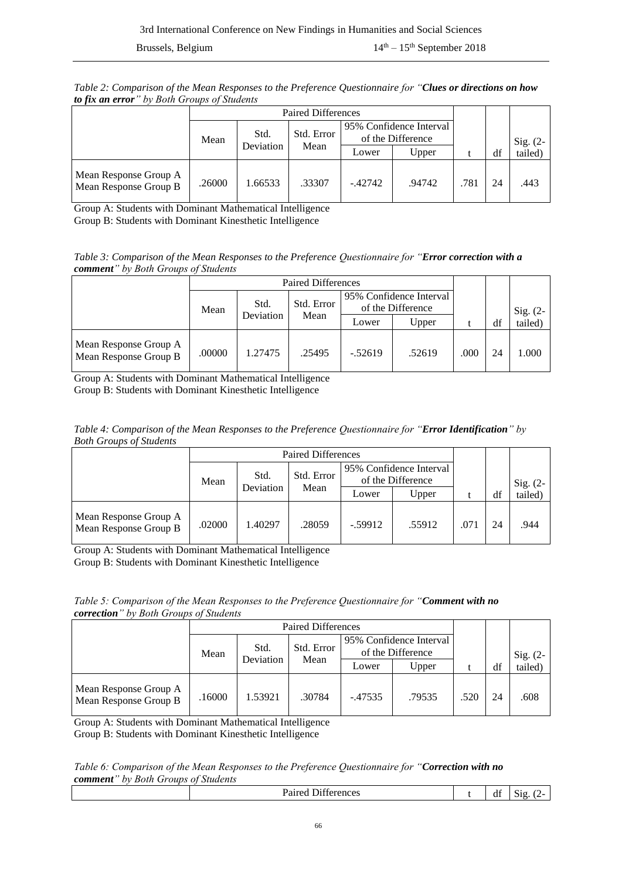*Table 2: Comparison of the Mean Responses to the Preference Questionnaire for "Clues or directions on how to fix an error" by Both Groups of Students* 

|                                                | <b>Paired Differences</b> |                   |        |                         |                   |      |    |         |            |
|------------------------------------------------|---------------------------|-------------------|--------|-------------------------|-------------------|------|----|---------|------------|
|                                                |                           |                   |        | 95% Confidence Interval |                   |      |    |         |            |
|                                                | Mean                      | Std.<br>Deviation |        | Std. Error              | of the Difference |      |    |         | Sig. $(2-$ |
|                                                |                           |                   | Mean   | Lower                   | Upper             |      | df | tailed) |            |
| Mean Response Group A<br>Mean Response Group B | .26000                    | 1.66533           | .33307 | $-.42742$               | .94742            | .781 | 24 | .443    |            |

Group A: Students with Dominant Mathematical Intelligence

Group B: Students with Dominant Kinesthetic Intelligence

*Table 3: Comparison of the Mean Responses to the Preference Questionnaire for "Error correction with a comment" by Both Groups of Students* 

|                                                | <b>Paired Differences</b> |         |                                 |                                              |        |      |    |            |
|------------------------------------------------|---------------------------|---------|---------------------------------|----------------------------------------------|--------|------|----|------------|
|                                                | Mean                      | Std.    | Std. Error<br>Deviation<br>Mean | 95% Confidence Interval<br>of the Difference |        |      |    | Sig. $(2-$ |
|                                                |                           |         |                                 | Lower                                        | Upper  |      | df | tailed)    |
| Mean Response Group A<br>Mean Response Group B | .00000                    | 1.27475 | .25495                          | $-.52619$                                    | .52619 | .000 | 24 | 1.000      |

Group A: Students with Dominant Mathematical Intelligence Group B: Students with Dominant Kinesthetic Intelligence

*Table 4: Comparison of the Mean Responses to the Preference Questionnaire for "Error Identification" by Both Groups of Students* 

| $\cdot$                                        | <b>Paired Differences</b> |                    |        |                                              |        |      |    |            |
|------------------------------------------------|---------------------------|--------------------|--------|----------------------------------------------|--------|------|----|------------|
|                                                | Mean                      | Std. Error<br>Std. |        | 95% Confidence Interval<br>of the Difference |        |      |    | Sig. $(2-$ |
|                                                |                           | Deviation          | Mean   | Lower                                        | Upper  |      | df | tailed)    |
| Mean Response Group A<br>Mean Response Group B | .02000                    | .40297             | .28059 | $-.59912$                                    | .55912 | .071 | 24 | .944       |

Group A: Students with Dominant Mathematical Intelligence Group B: Students with Dominant Kinesthetic Intelligence

*Table 5: Comparison of the Mean Responses to the Preference Questionnaire for "Comment with no correction" by Both Groups of Students* 

|                                                | <b>Paired Differences</b> |                    |        |                                              |        |      |    |            |
|------------------------------------------------|---------------------------|--------------------|--------|----------------------------------------------|--------|------|----|------------|
|                                                | Mean                      | Std. Error<br>Std. |        | 95% Confidence Interval<br>of the Difference |        |      |    | Sig. $(2-$ |
|                                                |                           | Deviation          | Mean   | Lower                                        | Upper  |      | df | tailed)    |
| Mean Response Group A<br>Mean Response Group B | .16000                    | .53921             | .30784 | $-.47535$                                    | .79535 | .520 | 24 | .608       |

Group A: Students with Dominant Mathematical Intelligence Group B: Students with Dominant Kinesthetic Intelligence

#### *Table 6: Comparison of the Mean Responses to the Preference Questionnaire for "Correction with no comment" by Both Groups of Students*

| $\sim$<br>`<br>™E∏CC… | $\sim$<br>d1 | -<br>810<br>. . |
|-----------------------|--------------|-----------------|
|                       |              |                 |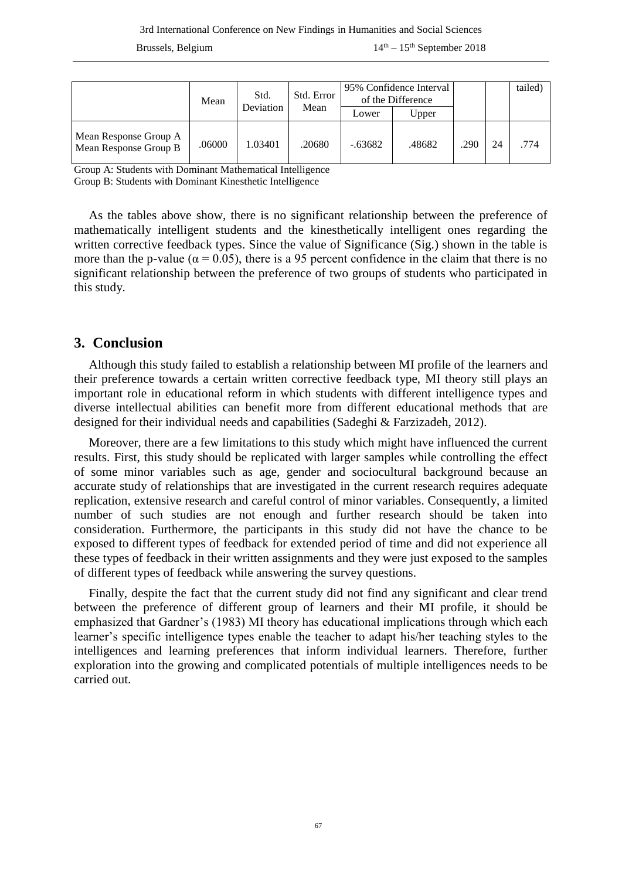|                                                | Mean   | Std.<br>Deviation |        | Std. Error | 95% Confidence Interval<br>of the Difference |      |    |      | tailed) |
|------------------------------------------------|--------|-------------------|--------|------------|----------------------------------------------|------|----|------|---------|
|                                                |        |                   | Mean   | ∟ower      | Upper                                        |      |    |      |         |
| Mean Response Group A<br>Mean Response Group B | .06000 | 1.03401           | .20680 | $-.63682$  | .48682                                       | .290 | 24 | .774 |         |

Group A: Students with Dominant Mathematical Intelligence

Group B: Students with Dominant Kinesthetic Intelligence

As the tables above show, there is no significant relationship between the preference of mathematically intelligent students and the kinesthetically intelligent ones regarding the written corrective feedback types. Since the value of Significance (Sig.) shown in the table is more than the p-value ( $\alpha = 0.05$ ), there is a 95 percent confidence in the claim that there is no significant relationship between the preference of two groups of students who participated in this study.

### **3. Conclusion**

Although this study failed to establish a relationship between MI profile of the learners and their preference towards a certain written corrective feedback type, MI theory still plays an important role in educational reform in which students with different intelligence types and diverse intellectual abilities can benefit more from different educational methods that are designed for their individual needs and capabilities (Sadeghi & Farzizadeh, 2012).

Moreover, there are a few limitations to this study which might have influenced the current results. First, this study should be replicated with larger samples while controlling the effect of some minor variables such as age, gender and sociocultural background because an accurate study of relationships that are investigated in the current research requires adequate replication, extensive research and careful control of minor variables. Consequently, a limited number of such studies are not enough and further research should be taken into consideration. Furthermore, the participants in this study did not have the chance to be exposed to different types of feedback for extended period of time and did not experience all these types of feedback in their written assignments and they were just exposed to the samples of different types of feedback while answering the survey questions.

Finally, despite the fact that the current study did not find any significant and clear trend between the preference of different group of learners and their MI profile, it should be emphasized that Gardner's (1983) MI theory has educational implications through which each learner's specific intelligence types enable the teacher to adapt his/her teaching styles to the intelligences and learning preferences that inform individual learners. Therefore, further exploration into the growing and complicated potentials of multiple intelligences needs to be carried out.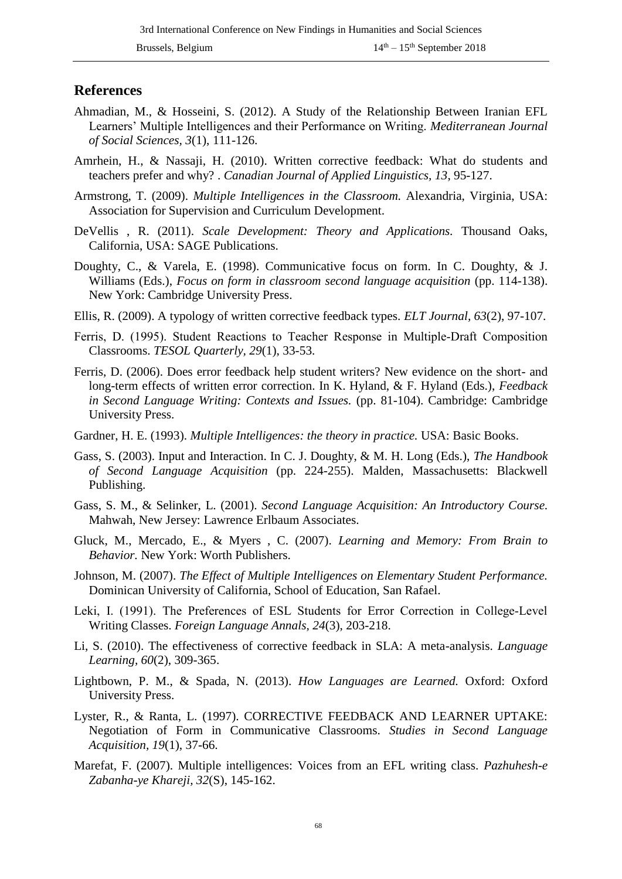#### **References**

- Ahmadian, M., & Hosseini, S. (2012). A Study of the Relationship Between Iranian EFL Learners' Multiple Intelligences and their Performance on Writing. *Mediterranean Journal of Social Sciences, 3*(1), 111-126.
- Amrhein, H., & Nassaji, H. (2010). Written corrective feedback: What do students and teachers prefer and why? . *Canadian Journal of Applied Linguistics, 13*, 95-127.
- Armstrong, T. (2009). *Multiple Intelligences in the Classroom.* Alexandria, Virginia, USA: Association for Supervision and Curriculum Development.
- DeVellis , R. (2011). *Scale Development: Theory and Applications.* Thousand Oaks, California, USA: SAGE Publications.
- Doughty, C., & Varela, E. (1998). Communicative focus on form. In C. Doughty, & J. Williams (Eds.), *Focus on form in classroom second language acquisition* (pp. 114-138). New York: Cambridge University Press.
- Ellis, R. (2009). A typology of written corrective feedback types. *ELT Journal, 63*(2), 97-107.
- Ferris, D. (1995). Student Reactions to Teacher Response in Multiple‐Draft Composition Classrooms. *TESOL Quarterly, 29*(1), 33-53.
- Ferris, D. (2006). Does error feedback help student writers? New evidence on the short- and long-term effects of written error correction. In K. Hyland, & F. Hyland (Eds.), *Feedback in Second Language Writing: Contexts and Issues.* (pp. 81-104). Cambridge: Cambridge University Press.
- Gardner, H. E. (1993). *Multiple Intelligences: the theory in practice.* USA: Basic Books.
- Gass, S. (2003). Input and Interaction. In C. J. Doughty, & M. H. Long (Eds.), *The Handbook of Second Language Acquisition* (pp. 224-255). Malden, Massachusetts: Blackwell Publishing.
- Gass, S. M., & Selinker, L. (2001). *Second Language Acquisition: An Introductory Course.* Mahwah, New Jersey: Lawrence Erlbaum Associates.
- Gluck, M., Mercado, E., & Myers , C. (2007). *Learning and Memory: From Brain to Behavior.* New York: Worth Publishers.
- Johnson, M. (2007). *The Effect of Multiple Intelligences on Elementary Student Performance.* Dominican University of California, School of Education, San Rafael.
- Leki, I. (1991). The Preferences of ESL Students for Error Correction in College-Level Writing Classes. *Foreign Language Annals, 24*(3), 203-218.
- Li, S. (2010). The effectiveness of corrective feedback in SLA: A meta-analysis. *Language Learning, 60*(2), 309-365.
- Lightbown, P. M., & Spada, N. (2013). *How Languages are Learned.* Oxford: Oxford University Press.
- Lyster, R., & Ranta, L. (1997). CORRECTIVE FEEDBACK AND LEARNER UPTAKE: Negotiation of Form in Communicative Classrooms. *Studies in Second Language Acquisition, 19*(1), 37-66.
- Marefat, F. (2007). Multiple intelligences: Voices from an EFL writing class. *Pazhuhesh-e Zabanha-ye Khareji, 32*(S), 145-162.